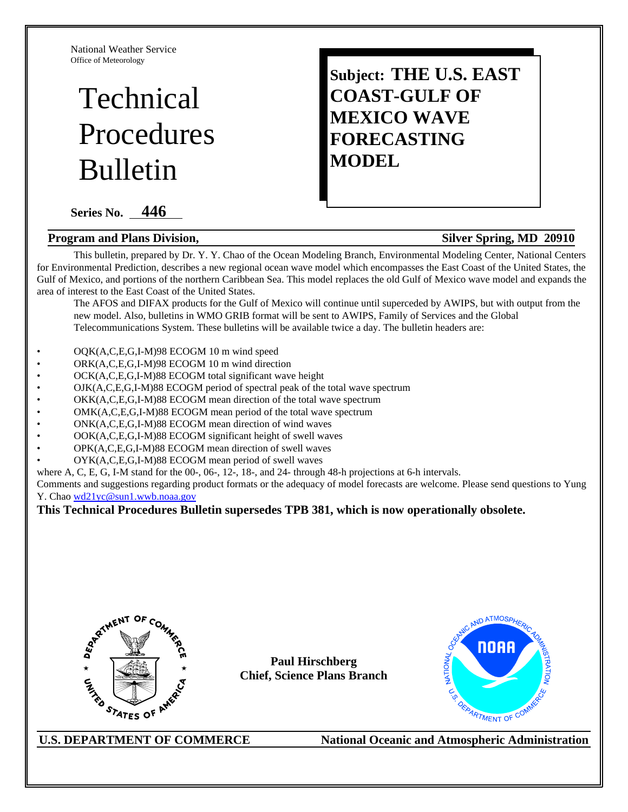National Weather Service Office of Meteorology

# Technical Procedures Bulletin

**Series No. 446** 

#### **Program and Plans Division, Silver Spring, MD 20910**

## **Subject: THE U.S. EAST COAST-GULF OF MEXICO WAVE FORECASTING MODEL**

This bulletin, prepared by Dr. Y. Y. Chao of the Ocean Modeling Branch, Environmental Modeling Center, National Centers for Environmental Prediction, describes a new regional ocean wave model which encompasses the East Coast of the United States, the Gulf of Mexico, and portions of the northern Caribbean Sea. This model replaces the old Gulf of Mexico wave model and expands the area of interest to the East Coast of the United States.

The AFOS and DIFAX products for the Gulf of Mexico will continue until superceded by AWIPS, but with output from the new model. Also, bulletins in WMO GRIB format will be sent to AWIPS, Family of Services and the Global Telecommunications System. These bulletins will be available twice a day. The bulletin headers are:

- OQK(A,C,E,G,I-M)98 ECOGM 10 m wind speed
- ORK(A,C,E,G,I-M)98 ECOGM 10 m wind direction
- OCK(A,C,E,G,I-M)88 ECOGM total significant wave height
- OJK(A,C,E,G,I-M)88 ECOGM period of spectral peak of the total wave spectrum
- OKK(A,C,E,G,I-M)88 ECOGM mean direction of the total wave spectrum
- OMK(A,C,E,G,I-M)88 ECOGM mean period of the total wave spectrum
- ONK(A,C,E,G,I-M)88 ECOGM mean direction of wind waves
- OOK(A,C,E,G,I-M)88 ECOGM significant height of swell waves
- OPK(A,C,E,G,I-M)88 ECOGM mean direction of swell waves
- OYK(A,C,E,G,I-M)88 ECOGM mean period of swell waves

where A, C, E, G, I-M stand for the 00-, 06-, 12-, 18-, and 24- through 48-h projections at 6-h intervals.

Comments and suggestions regarding product formats or the adequacy of model forecasts are welcome. Please send questions to Yung Y. Chao wd21yc@sun1.wwb.noaa.gov

#### **This Technical Procedures Bulletin supersedes TPB 381, which is now operationally obsolete.**



**Paul Hirschberg Chief, Science Plans Branch**

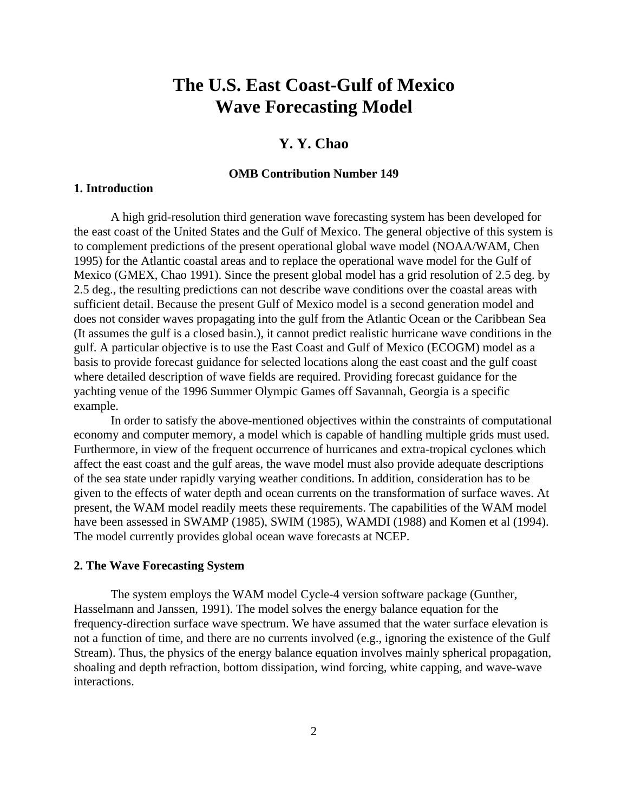## **The U.S. East Coast-Gulf of Mexico Wave Forecasting Model**

#### **Y. Y. Chao**

#### **OMB Contribution Number 149**

#### **1. Introduction**

A high grid-resolution third generation wave forecasting system has been developed for the east coast of the United States and the Gulf of Mexico. The general objective of this system is to complement predictions of the present operational global wave model (NOAA/WAM, Chen 1995) for the Atlantic coastal areas and to replace the operational wave model for the Gulf of Mexico (GMEX, Chao 1991). Since the present global model has a grid resolution of 2.5 deg. by 2.5 deg., the resulting predictions can not describe wave conditions over the coastal areas with sufficient detail. Because the present Gulf of Mexico model is a second generation model and does not consider waves propagating into the gulf from the Atlantic Ocean or the Caribbean Sea (It assumes the gulf is a closed basin.), it cannot predict realistic hurricane wave conditions in the gulf. A particular objective is to use the East Coast and Gulf of Mexico (ECOGM) model as a basis to provide forecast guidance for selected locations along the east coast and the gulf coast where detailed description of wave fields are required. Providing forecast guidance for the yachting venue of the 1996 Summer Olympic Games off Savannah, Georgia is a specific example.

In order to satisfy the above-mentioned objectives within the constraints of computational economy and computer memory, a model which is capable of handling multiple grids must used. Furthermore, in view of the frequent occurrence of hurricanes and extra-tropical cyclones which affect the east coast and the gulf areas, the wave model must also provide adequate descriptions of the sea state under rapidly varying weather conditions. In addition, consideration has to be given to the effects of water depth and ocean currents on the transformation of surface waves. At present, the WAM model readily meets these requirements. The capabilities of the WAM model have been assessed in SWAMP (1985), SWIM (1985), WAMDI (1988) and Komen et al (1994). The model currently provides global ocean wave forecasts at NCEP.

#### **2. The Wave Forecasting System**

The system employs the WAM model Cycle-4 version software package (Gunther, Hasselmann and Janssen, 1991). The model solves the energy balance equation for the frequency-direction surface wave spectrum. We have assumed that the water surface elevation is not a function of time, and there are no currents involved (e.g., ignoring the existence of the Gulf Stream). Thus, the physics of the energy balance equation involves mainly spherical propagation, shoaling and depth refraction, bottom dissipation, wind forcing, white capping, and wave-wave interactions.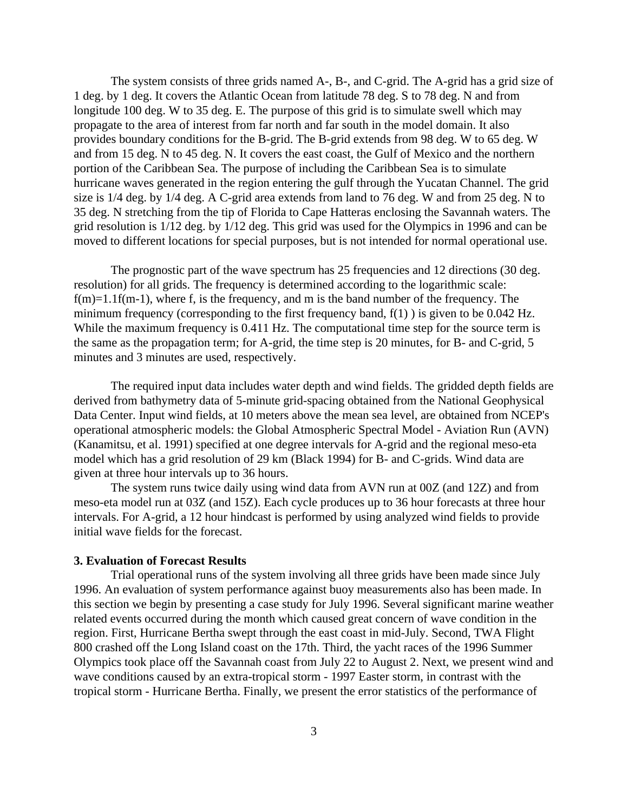The system consists of three grids named A-, B-, and C-grid. The A-grid has a grid size of 1 deg. by 1 deg. It covers the Atlantic Ocean from latitude 78 deg. S to 78 deg. N and from longitude 100 deg. W to 35 deg. E. The purpose of this grid is to simulate swell which may propagate to the area of interest from far north and far south in the model domain. It also provides boundary conditions for the B-grid. The B-grid extends from 98 deg. W to 65 deg. W and from 15 deg. N to 45 deg. N. It covers the east coast, the Gulf of Mexico and the northern portion of the Caribbean Sea. The purpose of including the Caribbean Sea is to simulate hurricane waves generated in the region entering the gulf through the Yucatan Channel. The grid size is 1/4 deg. by 1/4 deg. A C-grid area extends from land to 76 deg. W and from 25 deg. N to 35 deg. N stretching from the tip of Florida to Cape Hatteras enclosing the Savannah waters. The grid resolution is 1/12 deg. by 1/12 deg. This grid was used for the Olympics in 1996 and can be moved to different locations for special purposes, but is not intended for normal operational use.

The prognostic part of the wave spectrum has 25 frequencies and 12 directions (30 deg. resolution) for all grids. The frequency is determined according to the logarithmic scale:  $f(m)=1.1f(m-1)$ , where f, is the frequency, and m is the band number of the frequency. The minimum frequency (corresponding to the first frequency band,  $f(1)$ ) is given to be 0.042 Hz. While the maximum frequency is 0.411 Hz. The computational time step for the source term is the same as the propagation term; for A-grid, the time step is 20 minutes, for B- and C-grid, 5 minutes and 3 minutes are used, respectively.

The required input data includes water depth and wind fields. The gridded depth fields are derived from bathymetry data of 5-minute grid-spacing obtained from the National Geophysical Data Center. Input wind fields, at 10 meters above the mean sea level, are obtained from NCEP's operational atmospheric models: the Global Atmospheric Spectral Model - Aviation Run (AVN) (Kanamitsu, et al. 1991) specified at one degree intervals for A-grid and the regional meso-eta model which has a grid resolution of 29 km (Black 1994) for B- and C-grids. Wind data are given at three hour intervals up to 36 hours.

The system runs twice daily using wind data from AVN run at 00Z (and 12Z) and from meso-eta model run at 03Z (and 15Z). Each cycle produces up to 36 hour forecasts at three hour intervals. For A-grid, a 12 hour hindcast is performed by using analyzed wind fields to provide initial wave fields for the forecast.

#### **3. Evaluation of Forecast Results**

Trial operational runs of the system involving all three grids have been made since July 1996. An evaluation of system performance against buoy measurements also has been made. In this section we begin by presenting a case study for July 1996. Several significant marine weather related events occurred during the month which caused great concern of wave condition in the region. First, Hurricane Bertha swept through the east coast in mid-July. Second, TWA Flight 800 crashed off the Long Island coast on the 17th. Third, the yacht races of the 1996 Summer Olympics took place off the Savannah coast from July 22 to August 2. Next, we present wind and wave conditions caused by an extra-tropical storm - 1997 Easter storm, in contrast with the tropical storm - Hurricane Bertha. Finally, we present the error statistics of the performance of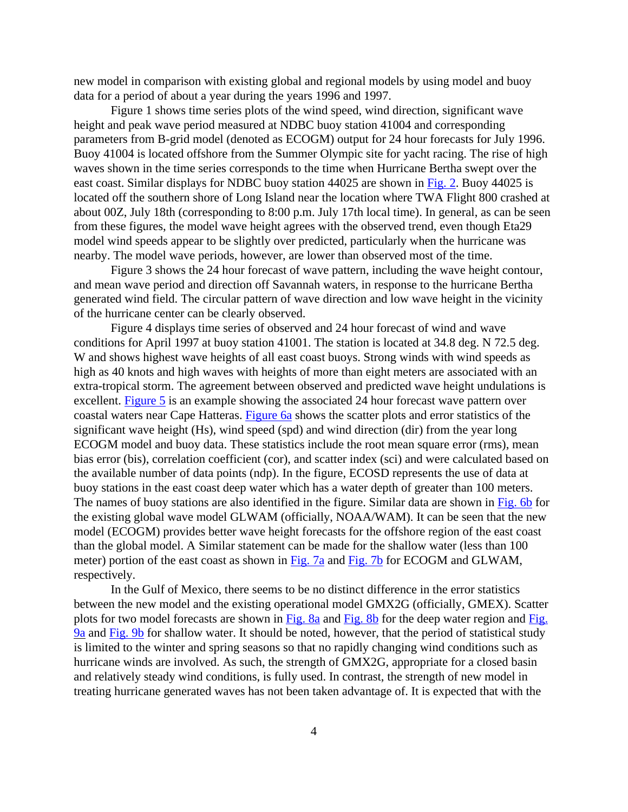new model in comparison with existing global and regional models by using model and buoy data for a period of about a year during the years 1996 and 1997.

Figure 1 shows time series plots of the wind speed, wind direction, significant wave height and peak wave period measured at NDBC buoy station 41004 and corresponding parameters from B-grid model (denoted as ECOGM) output for 24 hour forecasts for July 1996. Buoy 41004 is located offshore from the Summer Olympic site for yacht racing. The rise of high waves shown in the time series corresponds to the time when Hurricane Bertha swept over the east coast. Similar displays for NDBC buoy station 44025 are shown in Fig. 2. Buoy 44025 is located off the southern shore of Long Island near the location where TWA Flight 800 crashed at about 00Z, July 18th (corresponding to 8:00 p.m. July 17th local time). In general, as can be seen from these figures, the model wave height agrees with the observed trend, even though Eta29 model wind speeds appear to be slightly over predicted, particularly when the hurricane was nearby. The model wave periods, however, are lower than observed most of the time.

Figure 3 shows the 24 hour forecast of wave pattern, including the wave height contour, and mean wave period and direction off Savannah waters, in response to the hurricane Bertha generated wind field. The circular pattern of wave direction and low wave height in the vicinity of the hurricane center can be clearly observed.

Figure 4 displays time series of observed and 24 hour forecast of wind and wave conditions for April 1997 at buoy station 41001. The station is located at 34.8 deg. N 72.5 deg. W and shows highest wave heights of all east coast buoys. Strong winds with wind speeds as high as 40 knots and high waves with heights of more than eight meters are associated with an extra-tropical storm. The agreement between observed and predicted wave height undulations is excellent. Figure 5 is an example showing the associated 24 hour forecast wave pattern over coastal waters near Cape Hatteras. Figure 6a shows the scatter plots and error statistics of the significant wave height (Hs), wind speed (spd) and wind direction (dir) from the year long ECOGM model and buoy data. These statistics include the root mean square error (rms), mean bias error (bis), correlation coefficient (cor), and scatter index (sci) and were calculated based on the available number of data points (ndp). In the figure, ECOSD represents the use of data at buoy stations in the east coast deep water which has a water depth of greater than 100 meters. The names of buoy stations are also identified in the figure. Similar data are shown in Fig. 6b for the existing global wave model GLWAM (officially, NOAA/WAM). It can be seen that the new model (ECOGM) provides better wave height forecasts for the offshore region of the east coast than the global model. A Similar statement can be made for the shallow water (less than 100 meter) portion of the east coast as shown in Fig. 7a and Fig. 7b for ECOGM and GLWAM, respectively.

In the Gulf of Mexico, there seems to be no distinct difference in the error statistics between the new model and the existing operational model GMX2G (officially, GMEX). Scatter plots for two model forecasts are shown in Fig. 8a and Fig. 8b for the deep water region and Fig. 9a and Fig. 9b for shallow water. It should be noted, however, that the period of statistical study is limited to the winter and spring seasons so that no rapidly changing wind conditions such as hurricane winds are involved. As such, the strength of GMX2G, appropriate for a closed basin and relatively steady wind conditions, is fully used. In contrast, the strength of new model in treating hurricane generated waves has not been taken advantage of. It is expected that with the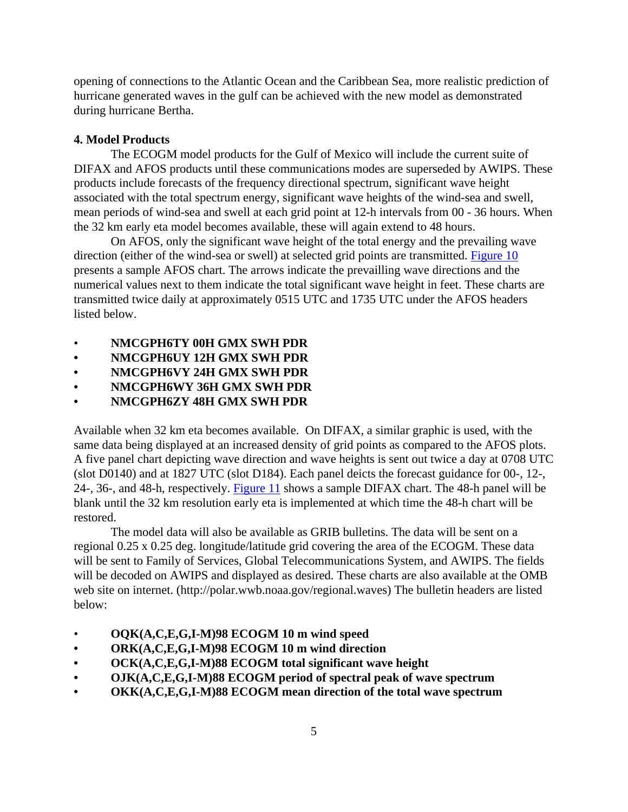opening of connections to the Atlantic Ocean and the Caribbean Sea, more realistic prediction of hurricane generated waves in the gulf can be achieved with the new model as demonstrated during hurricane Bertha.

#### **4. Model Products**

The ECOGM model products for the Gulf of Mexico will include the current suite of DIFAX and AFOS products until these communications modes are superseded by AWIPS. These products include forecasts of the frequency directional spectrum, significant wave height associated with the total spectrum energy, significant wave heights of the wind-sea and swell, mean periods of wind-sea and swell at each grid point at 12-h intervals from 00 - 36 hours. When the 32 km early eta model becomes available, these will again extend to 48 hours.

On AFOS, only the significant wave height of the total energy and the prevailing wave direction (either of the wind-sea or swell) at selected grid points are transmitted. Figure 10 presents a sample AFOS chart. The arrows indicate the prevailling wave directions and the numerical values next to them indicate the total significant wave height in feet. These charts are transmitted twice daily at approximately 0515 UTC and 1735 UTC under the AFOS headers listed below.

- **NMCGPH6TY 00H GMX SWH PDR**
- **• NMCGPH6UY 12H GMX SWH PDR**
- **• NMCGPH6VY 24H GMX SWH PDR**
- **• NMCGPH6WY 36H GMX SWH PDR**
- **• NMCGPH6ZY 48H GMX SWH PDR**

Available when 32 km eta becomes available. On DIFAX, a similar graphic is used, with the same data being displayed at an increased density of grid points as compared to the AFOS plots. A five panel chart depicting wave direction and wave heights is sent out twice a day at 0708 UTC (slot D0140) and at 1827 UTC (slot D184). Each panel deicts the forecast guidance for 00-, 12-, 24-, 36-, and 48-h, respectively. Figure 11 shows a sample DIFAX chart. The 48-h panel will be blank until the 32 km resolution early eta is implemented at which time the 48-h chart will be restored.

The model data will also be available as GRIB bulletins. The data will be sent on a regional 0.25 x 0.25 deg. longitude/latitude grid covering the area of the ECOGM. These data will be sent to Family of Services, Global Telecommunications System, and AWIPS. The fields will be decoded on AWIPS and displayed as desired. These charts are also available at the OMB web site on internet. (http://polar.wwb.noaa.gov/regional.waves) The bulletin headers are listed below:

- **OQK(A,C,E,G,I-M)98 ECOGM 10 m wind speed**
- **• ORK(A,C,E,G,I-M)98 ECOGM 10 m wind direction**
- **• OCK(A,C,E,G,I-M)88 ECOGM total significant wave height**
- **• OJK(A,C,E,G,I-M)88 ECOGM period of spectral peak of wave spectrum**
- **• OKK(A,C,E,G,I-M)88 ECOGM mean direction of the total wave spectrum**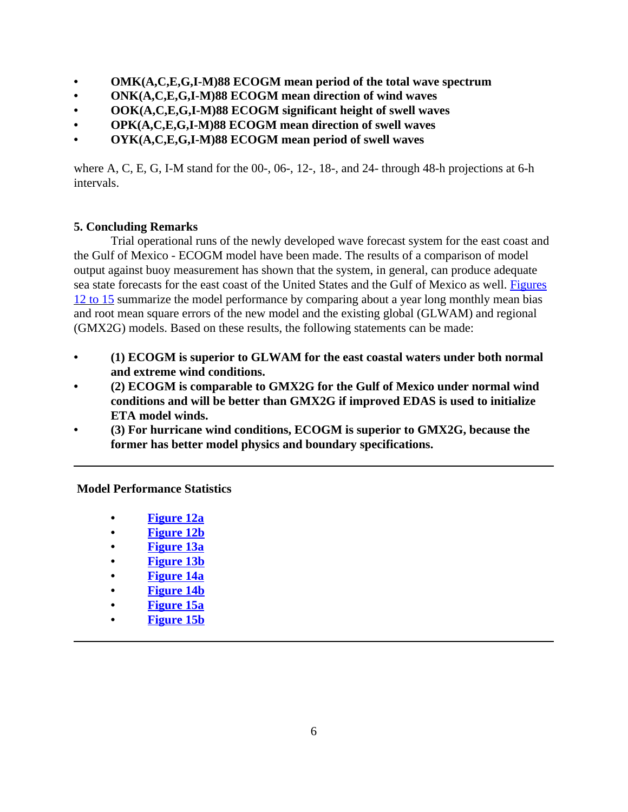- **• OMK(A,C,E,G,I-M)88 ECOGM mean period of the total wave spectrum**
- **• ONK(A,C,E,G,I-M)88 ECOGM mean direction of wind waves**
- **• OOK(A,C,E,G,I-M)88 ECOGM significant height of swell waves**
- **• OPK(A,C,E,G,I-M)88 ECOGM mean direction of swell waves**
- **• OYK(A,C,E,G,I-M)88 ECOGM mean period of swell waves**

where A, C, E, G, I-M stand for the 00-, 06-, 12-, 18-, and 24- through 48-h projections at 6-h intervals.

### **5. Concluding Remarks**

Trial operational runs of the newly developed wave forecast system for the east coast and the Gulf of Mexico - ECOGM model have been made. The results of a comparison of model output against buoy measurement has shown that the system, in general, can produce adequate sea state forecasts for the east coast of the United States and the Gulf of Mexico as well. Figures 12 to 15 summarize the model performance by comparing about a year long monthly mean bias and root mean square errors of the new model and the existing global (GLWAM) and regional (GMX2G) models. Based on these results, the following statements can be made:

- **• (1) ECOGM is superior to GLWAM for the east coastal waters under both normal and extreme wind conditions.**
- **• (2) ECOGM is comparable to GMX2G for the Gulf of Mexico under normal wind conditions and will be better than GMX2G if improved EDAS is used to initialize ETA model winds.**
- **• (3) For hurricane wind conditions, ECOGM is superior to GMX2G, because the former has better model physics and boundary specifications.**

 **Model Performance Statistics** 

- **• Figure 12a**
- **• Figure 12b**
- **• Figure 13a**
- **• Figure 13b**
- **• Figure 14a**
- **• Figure 14b**
- **• Figure 15a**
- **• Figure 15b**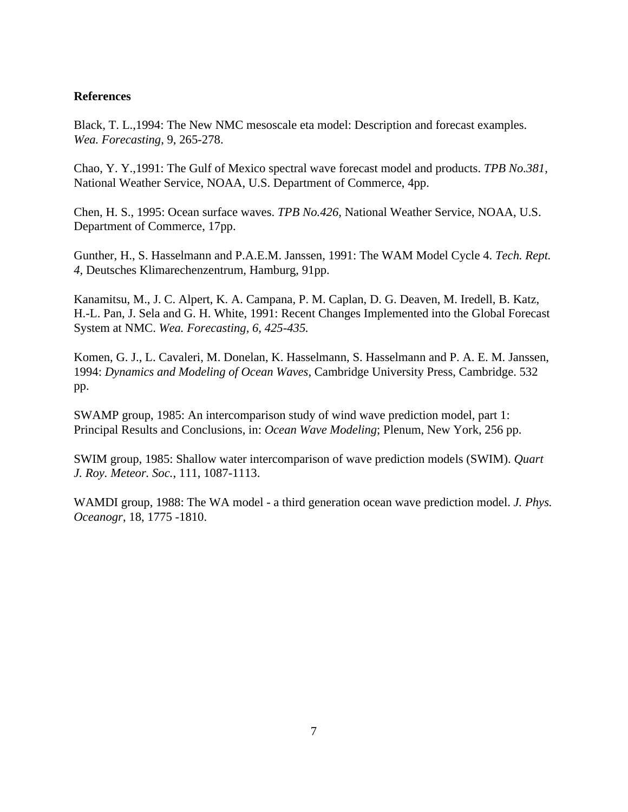#### **References**

Black, T. L.,1994: The New NMC mesoscale eta model: Description and forecast examples. *Wea. Forecasting*, 9, 265-278.

Chao, Y. Y.,1991: The Gulf of Mexico spectral wave forecast model and products. *TPB No.381*, National Weather Service, NOAA, U.S. Department of Commerce, 4pp.

Chen, H. S., 1995: Ocean surface waves. *TPB No.426*, National Weather Service, NOAA, U.S. Department of Commerce, 17pp.

Gunther, H., S. Hasselmann and P.A.E.M. Janssen, 1991: The WAM Model Cycle 4. *Tech. Rept. 4,* Deutsches Klimarechenzentrum, Hamburg, 91pp.

Kanamitsu, M., J. C. Alpert, K. A. Campana, P. M. Caplan, D. G. Deaven, M. Iredell, B. Katz, H.-L. Pan, J. Sela and G. H. White, 1991: Recent Changes Implemented into the Global Forecast System at NMC. *Wea. Forecasting, 6, 425-435.*

Komen, G. J., L. Cavaleri, M. Donelan, K. Hasselmann, S. Hasselmann and P. A. E. M. Janssen, 1994: *Dynamics and Modeling of Ocean Waves*, Cambridge University Press, Cambridge. 532 pp.

SWAMP group, 1985: An intercomparison study of wind wave prediction model, part 1: Principal Results and Conclusions, in: *Ocean Wave Modeling*; Plenum, New York, 256 pp.

SWIM group, 1985: Shallow water intercomparison of wave prediction models (SWIM). *Quart J. Roy. Meteor. Soc.*, 111, 1087-1113.

WAMDI group, 1988: The WA model - a third generation ocean wave prediction model. *J. Phys. Oceanogr*, 18, 1775 -1810.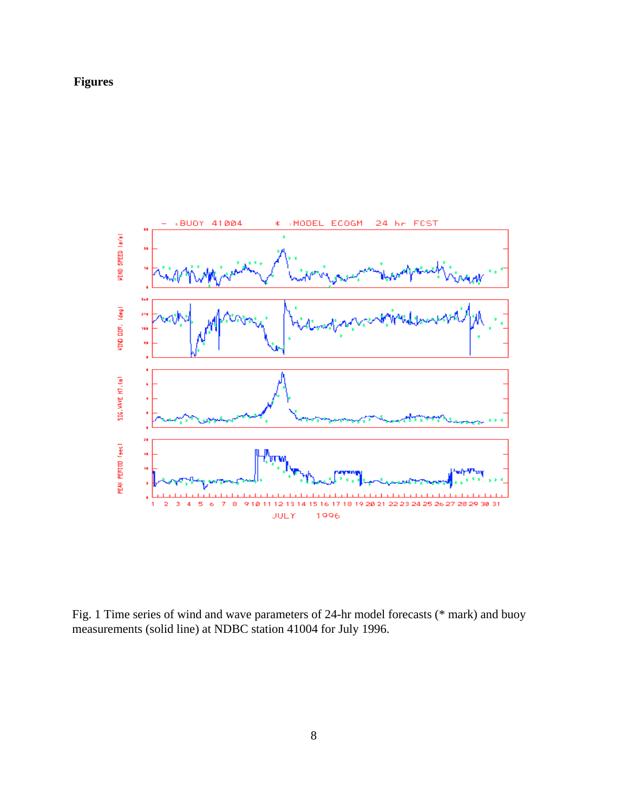### **Figures**



Fig. 1 Time series of wind and wave parameters of 24-hr model forecasts (\* mark) and buoy measurements (solid line) at NDBC station 41004 for July 1996.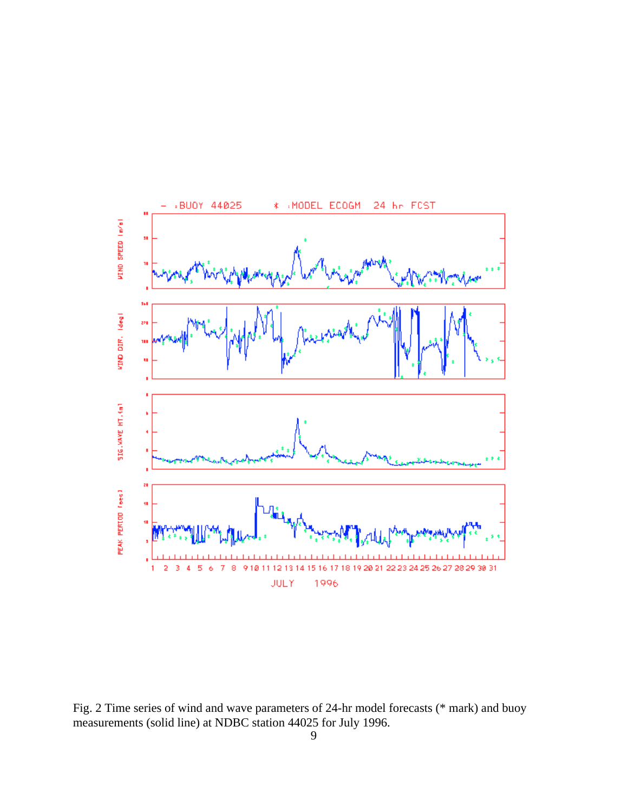

Fig. 2 Time series of wind and wave parameters of 24-hr model forecasts (\* mark) and buoy measurements (solid line) at NDBC station 44025 for July 1996.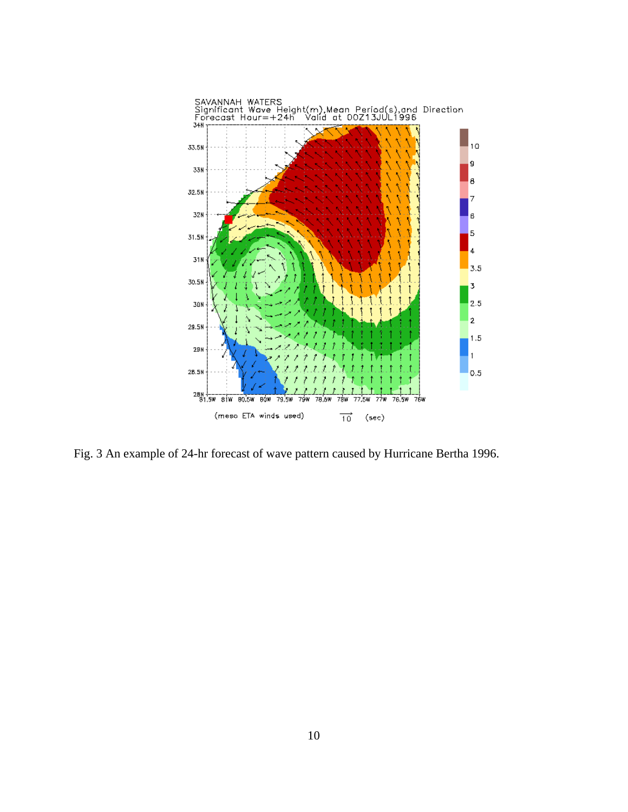

Fig. 3 An example of 24-hr forecast of wave pattern caused by Hurricane Bertha 1996.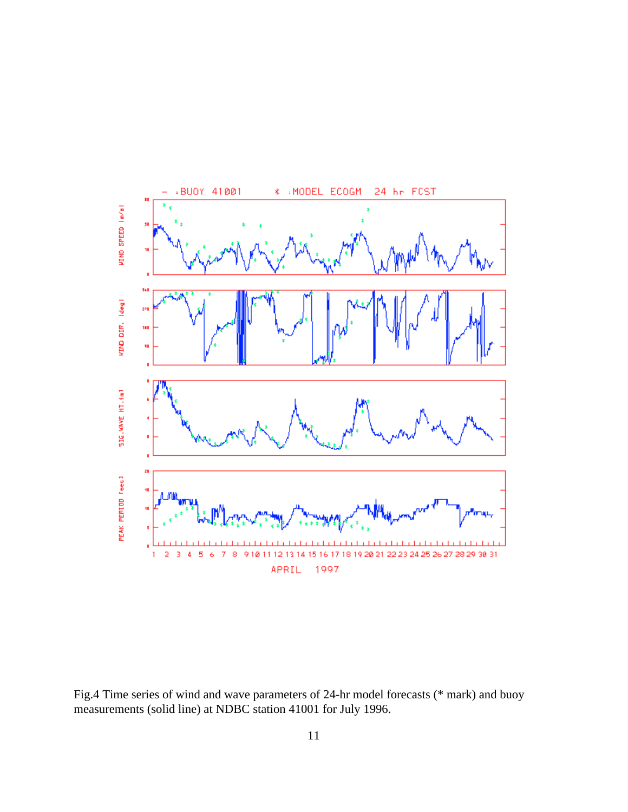

Fig.4 Time series of wind and wave parameters of 24-hr model forecasts (\* mark) and buoy measurements (solid line) at NDBC station 41001 for July 1996.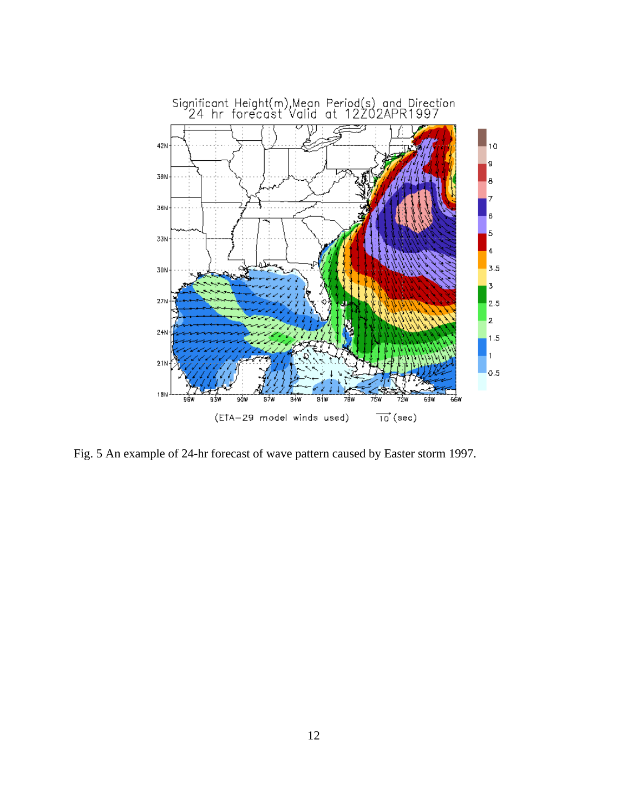

Fig. 5 An example of 24-hr forecast of wave pattern caused by Easter storm 1997.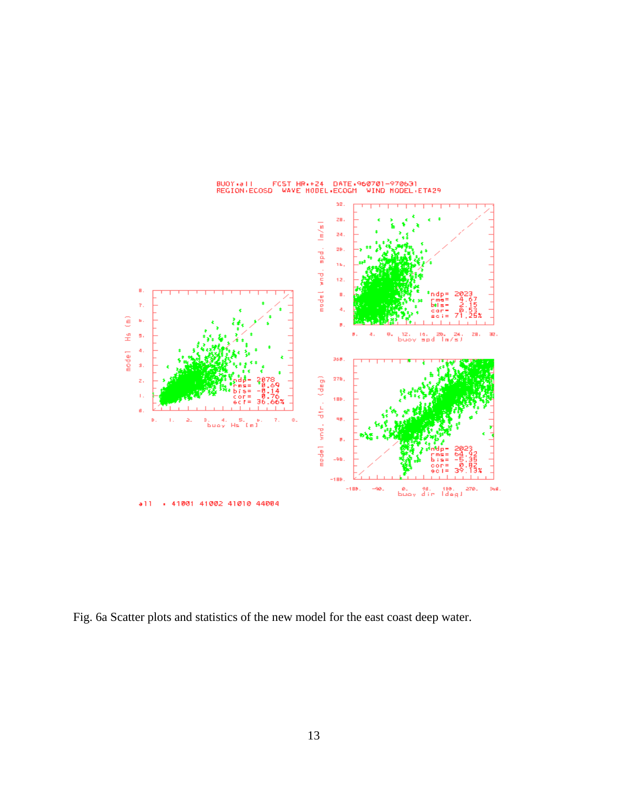

BUOY+all FCST HR++24 DATE+960701-970631<br>REGION+ECOSD WAVE HODEL+ECOGM WIND HODEL+ETA29

Fig. 6a Scatter plots and statistics of the new model for the east coast deep water.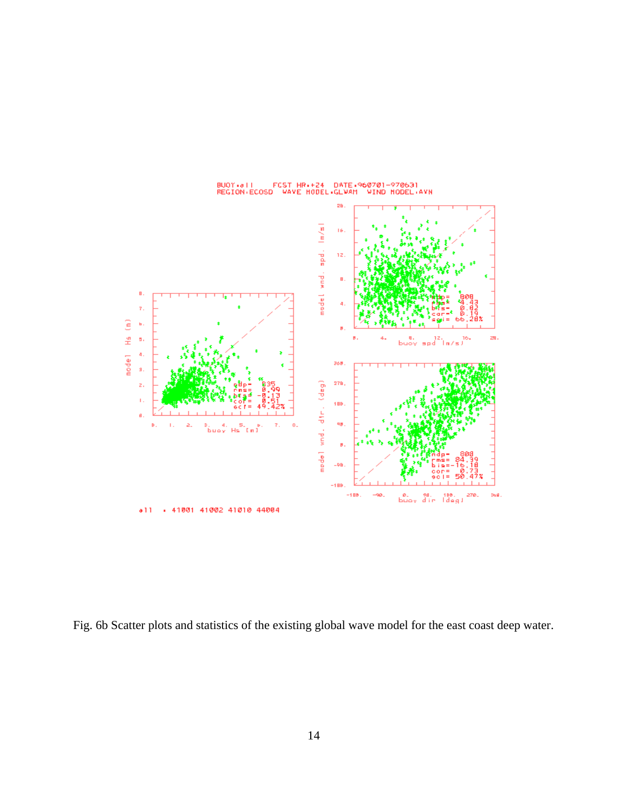

BUOY (all )<br>REGION (ECOSD) FCST HR++24 DATE+960701-970631<br>) WAVE HODEL+GLWAM WIND HODEL+ .<br>AVN

Fig. 6b Scatter plots and statistics of the existing global wave model for the east coast deep water.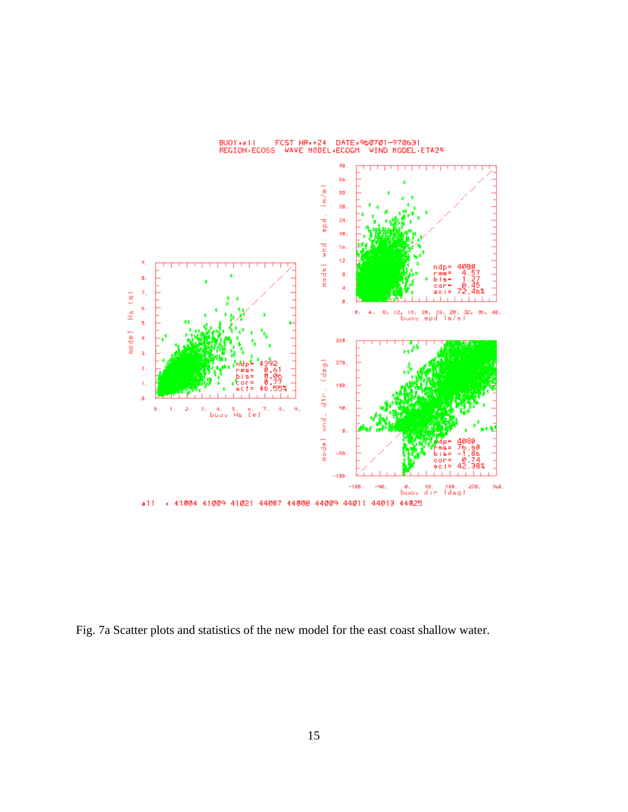

BUOY+#11 F<br>REGION+ECOSS FCST HR++24 DATE+960701-970631<br>5 WAVE HODEL+ECOGM WIND NODEL+ETA29

Fig. 7a Scatter plots and statistics of the new model for the east coast shallow water.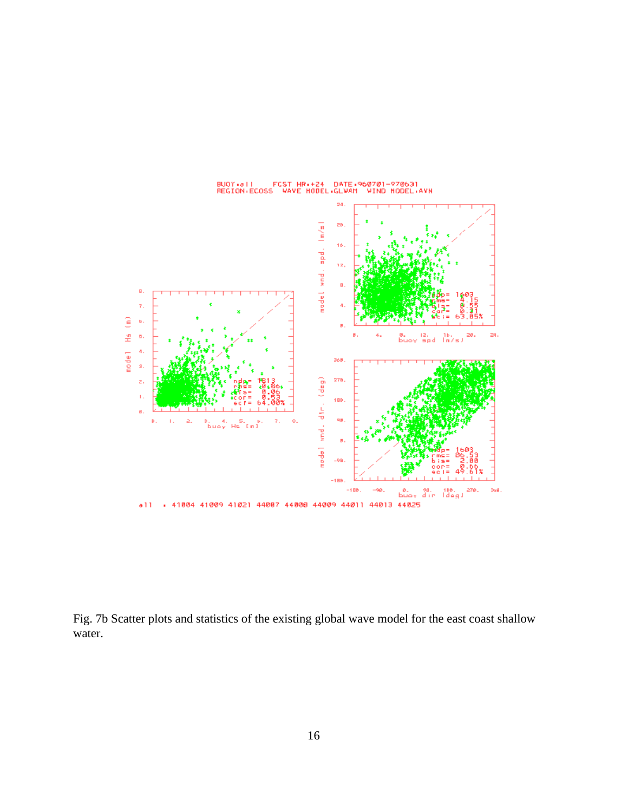

Fig. 7b Scatter plots and statistics of the existing global wave model for the east coast shallow water.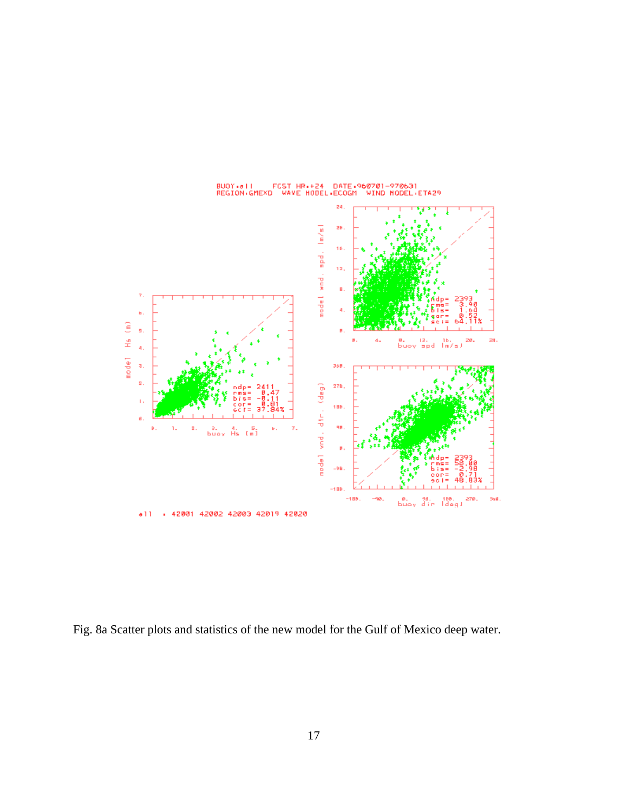

BUOY+#11 FCST HR++24 DATE+960701-970631<br>REGION+GMEXD WAVE HODEL+ECOGM WIND HODEL+ETA29

Fig. 8a Scatter plots and statistics of the new model for the Gulf of Mexico deep water.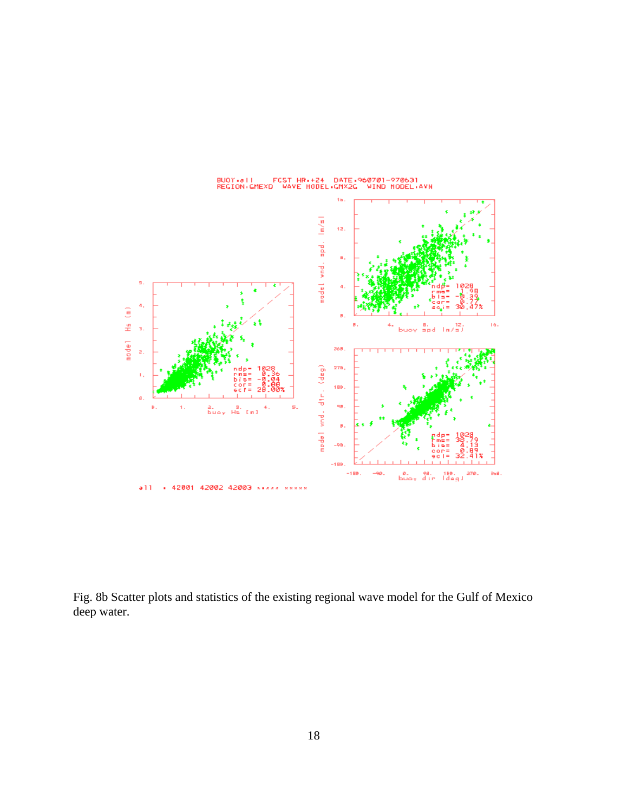

Fig. 8b Scatter plots and statistics of the existing regional wave model for the Gulf of Mexico deep water.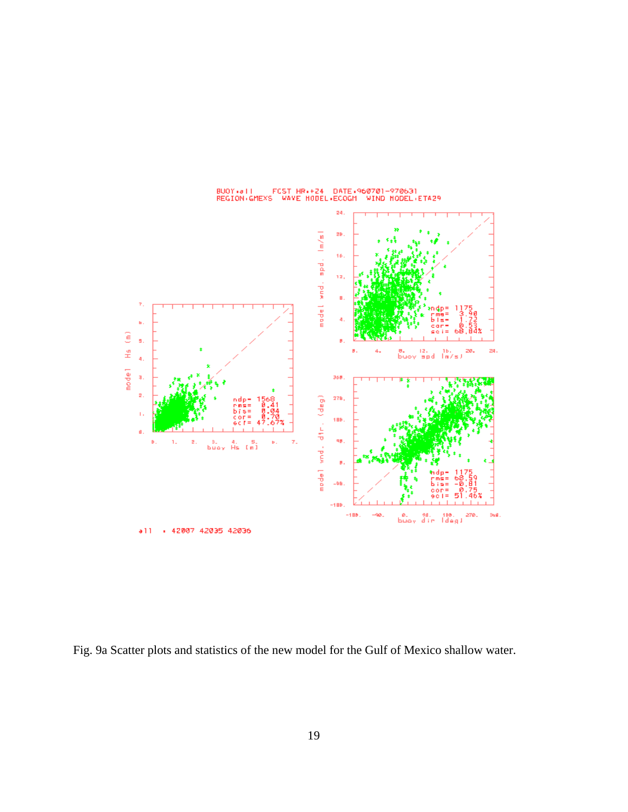

Fig. 9a Scatter plots and statistics of the new model for the Gulf of Mexico shallow water.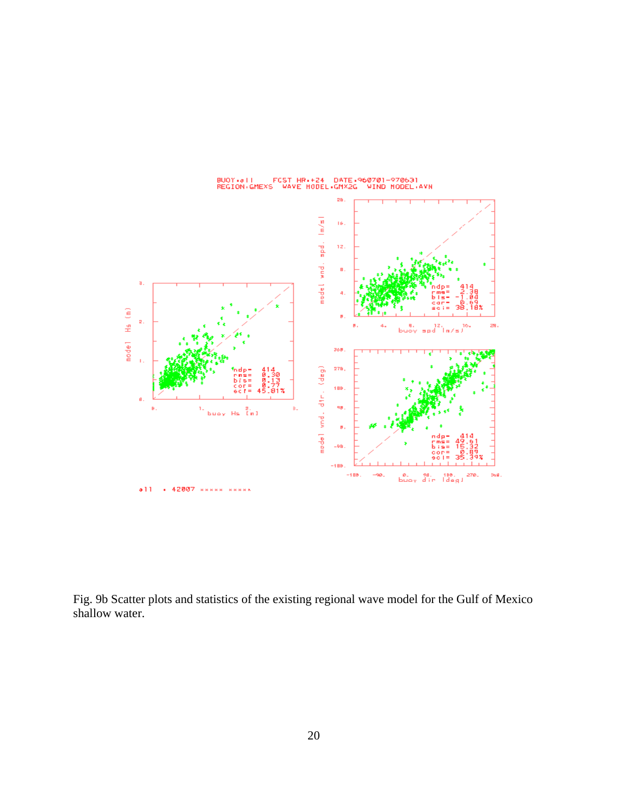

Fig. 9b Scatter plots and statistics of the existing regional wave model for the Gulf of Mexico shallow water.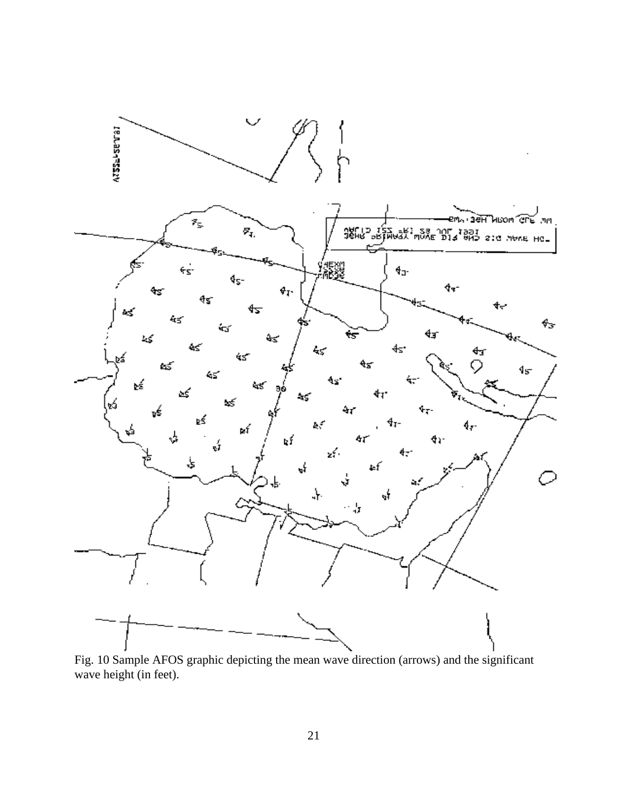

Fig. 10 Sample AFOS graphic depicting the mean wave direction (arrows) and the significant wave height (in feet).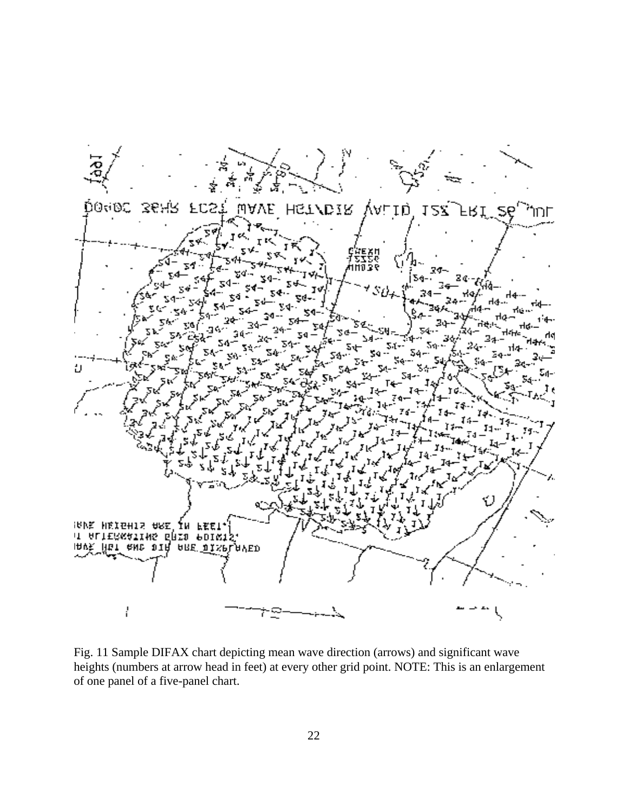

Fig. 11 Sample DIFAX chart depicting mean wave direction (arrows) and significant wave heights (numbers at arrow head in feet) at every other grid point. NOTE: This is an enlargement of one panel of a five-panel chart.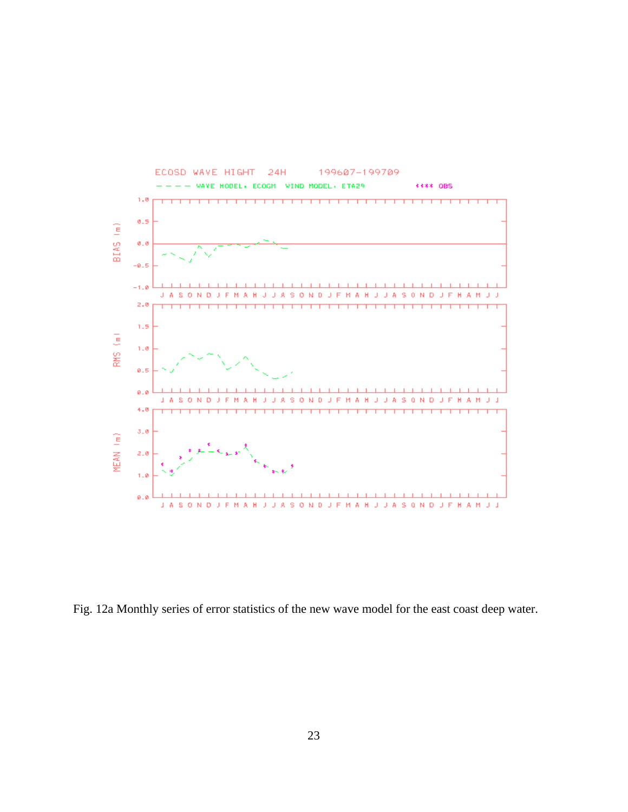

Fig. 12a Monthly series of error statistics of the new wave model for the east coast deep water.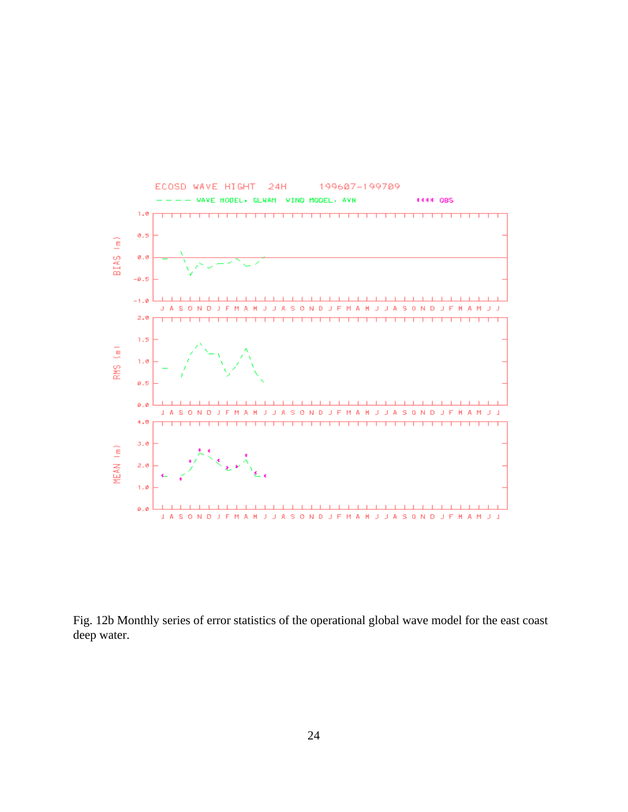

Fig. 12b Monthly series of error statistics of the operational global wave model for the east coast deep water.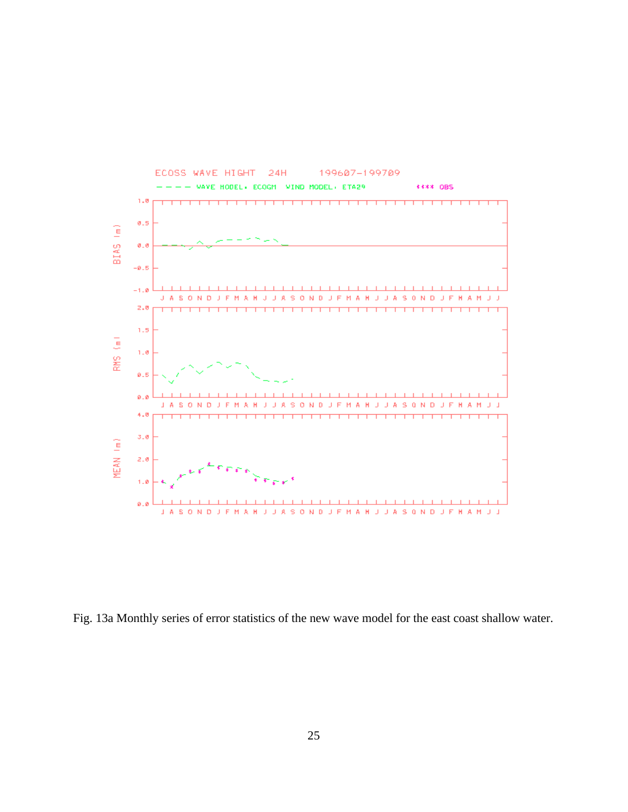

Fig. 13a Monthly series of error statistics of the new wave model for the east coast shallow water.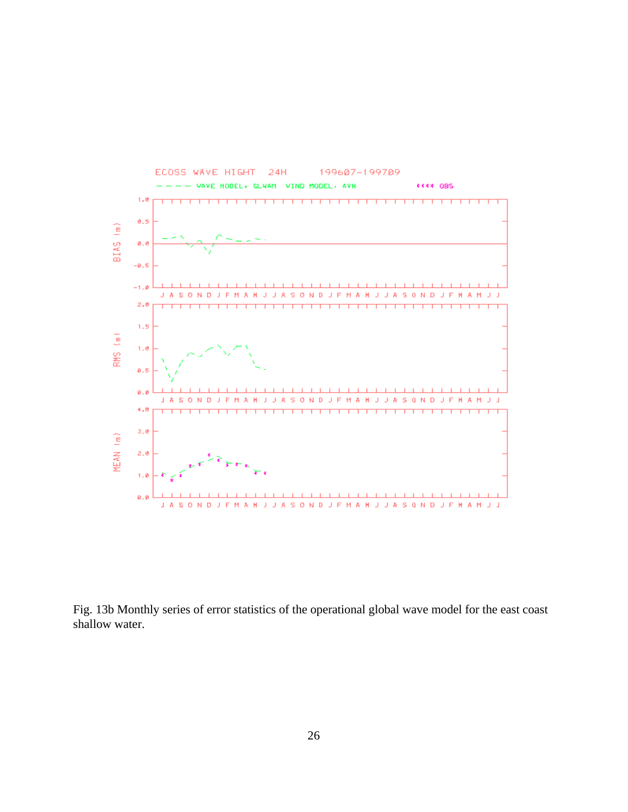

Fig. 13b Monthly series of error statistics of the operational global wave model for the east coast shallow water.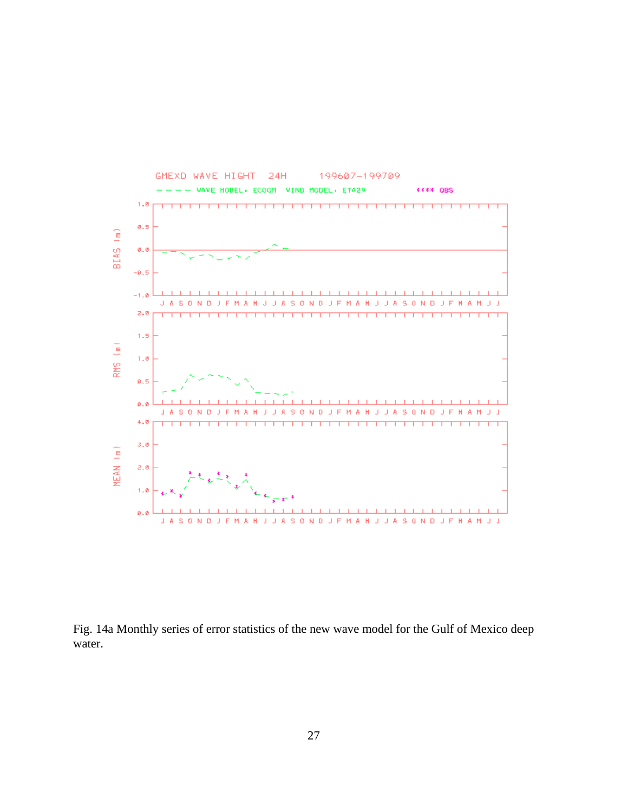

Fig. 14a Monthly series of error statistics of the new wave model for the Gulf of Mexico deep water.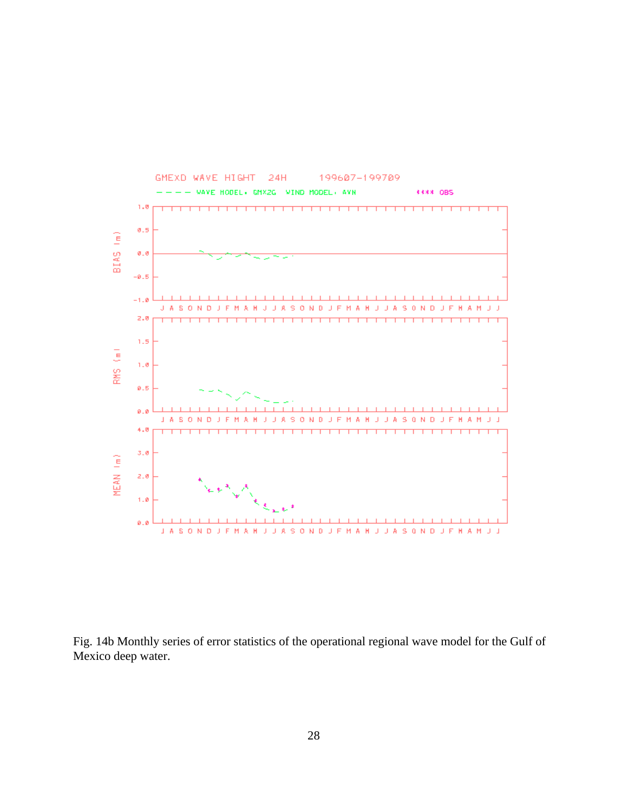

Fig. 14b Monthly series of error statistics of the operational regional wave model for the Gulf of Mexico deep water.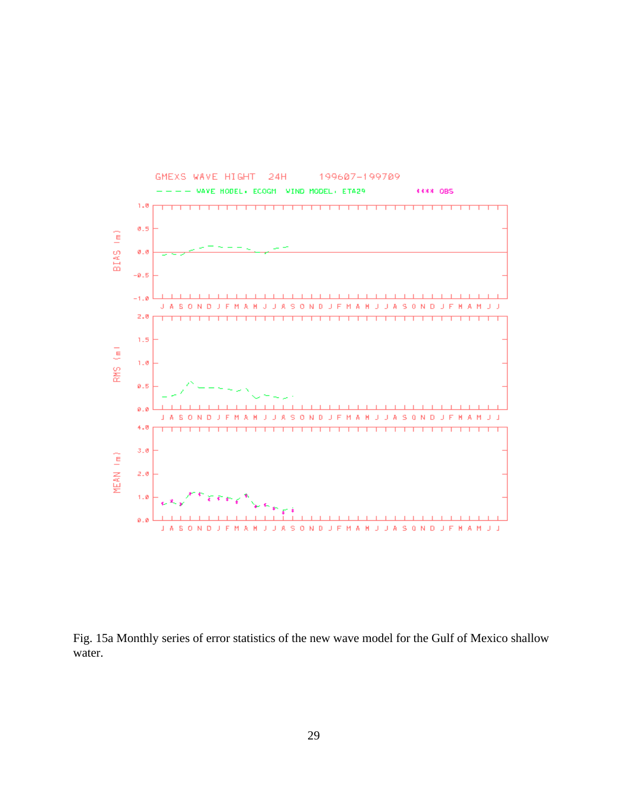

Fig. 15a Monthly series of error statistics of the new wave model for the Gulf of Mexico shallow water.